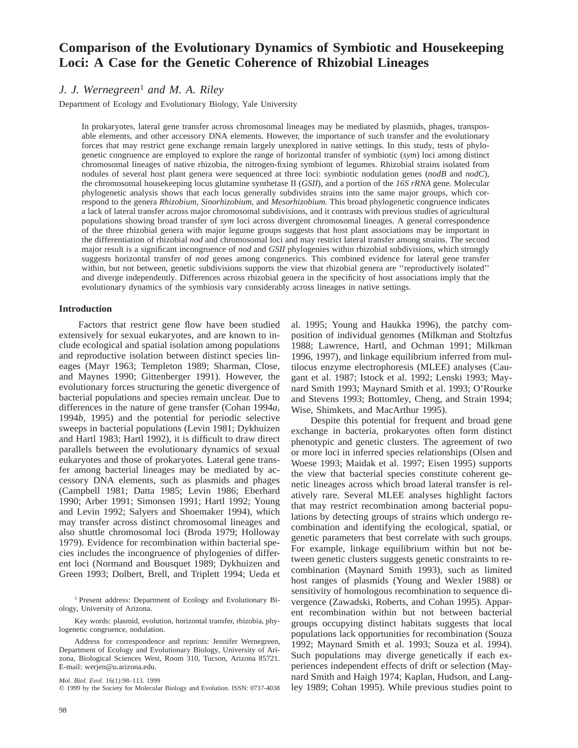# **Comparison of the Evolutionary Dynamics of Symbiotic and Housekeeping Loci: A Case for the Genetic Coherence of Rhizobial Lineages**

## *J. J. Wernegreen*<sup>1</sup> *and M. A. Riley*

Department of Ecology and Evolutionary Biology, Yale University

In prokaryotes, lateral gene transfer across chromosomal lineages may be mediated by plasmids, phages, transposable elements, and other accessory DNA elements. However, the importance of such transfer and the evolutionary forces that may restrict gene exchange remain largely unexplored in native settings. In this study, tests of phylogenetic congruence are employed to explore the range of horizontal transfer of symbiotic (*sym*) loci among distinct chromosomal lineages of native rhizobia, the nitrogen-fixing symbiont of legumes. Rhizobial strains isolated from nodules of several host plant genera were sequenced at three loci: symbiotic nodulation genes (*nodB* and *nodC*), the chromosomal housekeeping locus glutamine synthetase II (*GSII*), and a portion of the *16S rRNA* gene. Molecular phylogenetic analysis shows that each locus generally subdivides strains into the same major groups, which correspond to the genera *Rhizobium, Sinorhizobium,* and *Mesorhizobium.* This broad phylogenetic congruence indicates a lack of lateral transfer across major chromosomal subdivisions, and it contrasts with previous studies of agricultural populations showing broad transfer of *sym* loci across divergent chromosomal lineages. A general correspondence of the three rhizobial genera with major legume groups suggests that host plant associations may be important in the differentiation of rhizobial *nod* and chromosomal loci and may restrict lateral transfer among strains. The second major result is a significant incongruence of *nod* and *GSII* phylogenies within rhizobial subdivisions, which strongly suggests horizontal transfer of *nod* genes among congenerics. This combined evidence for lateral gene transfer within, but not between, genetic subdivisions supports the view that rhizobial genera are ''reproductively isolated'' and diverge independently. Differences across rhizobial genera in the specificity of host associations imply that the evolutionary dynamics of the symbiosis vary considerably across lineages in native settings.

## **Introduction**

Factors that restrict gene flow have been studied extensively for sexual eukaryotes, and are known to include ecological and spatial isolation among populations and reproductive isolation between distinct species lineages (Mayr 1963; Templeton 1989; Sharman, Close, and Maynes 1990; Gittenberger 1991). However, the evolutionary forces structuring the genetic divergence of bacterial populations and species remain unclear. Due to differences in the nature of gene transfer (Cohan 1994*a,* 1994*b,* 1995) and the potential for periodic selective sweeps in bacterial populations (Levin 1981; Dykhuizen and Hartl 1983; Hartl 1992), it is difficult to draw direct parallels between the evolutionary dynamics of sexual eukaryotes and those of prokaryotes. Lateral gene transfer among bacterial lineages may be mediated by accessory DNA elements, such as plasmids and phages (Campbell 1981; Datta 1985; Levin 1986; Eberhard 1990; Arber 1991; Simonsen 1991; Hartl 1992; Young and Levin 1992; Salyers and Shoemaker 1994), which may transfer across distinct chromosomal lineages and also shuttle chromosomal loci (Broda 1979; Holloway 1979). Evidence for recombination within bacterial species includes the incongruence of phylogenies of different loci (Normand and Bousquet 1989; Dykhuizen and Green 1993; Dolbert, Brell, and Triplett 1994; Ueda et

<sup>1</sup> Present address: Department of Ecology and Evolutionary Biology, University of Arizona.

Key words: plasmid, evolution, horizontal transfer, rhizobia, phylogenetic congruence, nodulation.

Address for correspondence and reprints: Jennifer Wernegreen, Department of Ecology and Evolutionary Biology, University of Arizona, Biological Sciences West, Room 310, Tucson, Arizona 85721. E-mail: werjen@u.arizona.edu.

*Mol. Biol. Evol.* 16(1):98–113. 1999

 $©$  1999 by the Society for Molecular Biology and Evolution. ISSN: 0737-4038

al. 1995; Young and Haukka 1996), the patchy composition of individual genomes (Milkman and Stoltzfus 1988; Lawrence, Hartl, and Ochman 1991; Milkman 1996, 1997), and linkage equilibrium inferred from multilocus enzyme electrophoresis (MLEE) analyses (Caugant et al. 1987; Istock et al. 1992; Lenski 1993; Maynard Smith 1993; Maynard Smith et al. 1993; O'Rourke and Stevens 1993; Bottomley, Cheng, and Strain 1994; Wise, Shimkets, and MacArthur 1995).

Despite this potential for frequent and broad gene exchange in bacteria, prokaryotes often form distinct phenotypic and genetic clusters. The agreement of two or more loci in inferred species relationships (Olsen and Woese 1993; Maidak et al. 1997; Eisen 1995) supports the view that bacterial species constitute coherent genetic lineages across which broad lateral transfer is relatively rare. Several MLEE analyses highlight factors that may restrict recombination among bacterial populations by detecting groups of strains which undergo recombination and identifying the ecological, spatial, or genetic parameters that best correlate with such groups. For example, linkage equilibrium within but not between genetic clusters suggests genetic constraints to recombination (Maynard Smith 1993), such as limited host ranges of plasmids (Young and Wexler 1988) or sensitivity of homologous recombination to sequence divergence (Zawadski, Roberts, and Cohan 1995). Apparent recombination within but not between bacterial groups occupying distinct habitats suggests that local populations lack opportunities for recombination (Souza 1992; Maynard Smith et al. 1993; Souza et al. 1994). Such populations may diverge genetically if each experiences independent effects of drift or selection (Maynard Smith and Haigh 1974; Kaplan, Hudson, and Langley 1989; Cohan 1995). While previous studies point to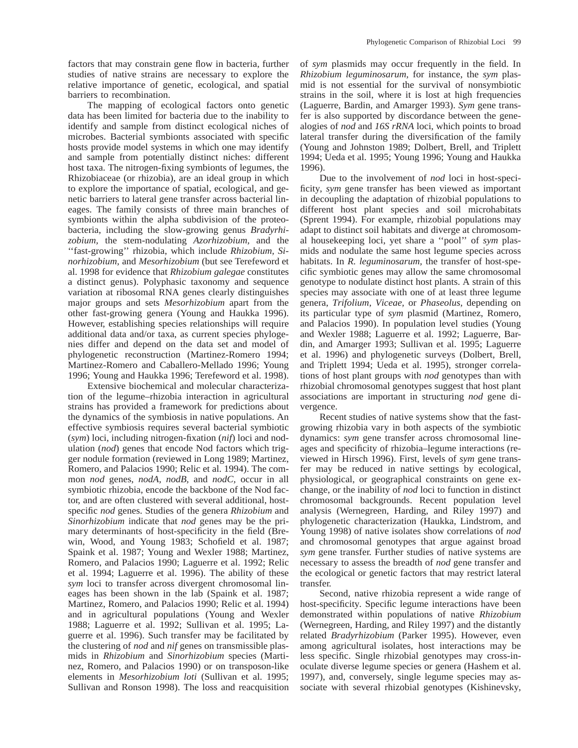factors that may constrain gene flow in bacteria, further studies of native strains are necessary to explore the relative importance of genetic, ecological, and spatial barriers to recombination.

The mapping of ecological factors onto genetic data has been limited for bacteria due to the inability to identify and sample from distinct ecological niches of microbes. Bacterial symbionts associated with specific hosts provide model systems in which one may identify and sample from potentially distinct niches: different host taxa. The nitrogen-fixing symbionts of legumes, the Rhizobiaceae (or rhizobia), are an ideal group in which to explore the importance of spatial, ecological, and genetic barriers to lateral gene transfer across bacterial lineages. The family consists of three main branches of symbionts within the alpha subdivision of the proteobacteria, including the slow-growing genus *Bradyrhizobium,* the stem-nodulating *Azorhizobium,* and the ''fast-growing'' rhizobia, which include *Rhizobium, Sinorhizobium,* and *Mesorhizobium* (but see Terefeword et al. 1998 for evidence that *Rhizobium galegae* constitutes a distinct genus). Polyphasic taxonomy and sequence variation at ribosomal RNA genes clearly distinguishes major groups and sets *Mesorhizobium* apart from the other fast-growing genera (Young and Haukka 1996). However, establishing species relationships will require additional data and/or taxa, as current species phylogenies differ and depend on the data set and model of phylogenetic reconstruction (Martinez-Romero 1994; Martinez-Romero and Caballero-Mellado 1996; Young 1996; Young and Haukka 1996; Terefeword et al. 1998).

Extensive biochemical and molecular characterization of the legume–rhizobia interaction in agricultural strains has provided a framework for predictions about the dynamics of the symbiosis in native populations. An effective symbiosis requires several bacterial symbiotic (*sym*) loci, including nitrogen-fixation (*nif*) loci and nodulation (*nod*) genes that encode Nod factors which trigger nodule formation (reviewed in Long 1989; Martinez, Romero, and Palacios 1990; Relic et al. 1994). The common *nod* genes, *nodA, nodB,* and *nodC,* occur in all symbiotic rhizobia, encode the backbone of the Nod factor, and are often clustered with several additional, hostspecific *nod* genes. Studies of the genera *Rhizobium* and *Sinorhizobium* indicate that *nod* genes may be the primary determinants of host-specificity in the field (Brewin, Wood, and Young 1983; Schofield et al. 1987; Spaink et al. 1987; Young and Wexler 1988; Martinez, Romero, and Palacios 1990; Laguerre et al. 1992; Relic et al. 1994; Laguerre et al. 1996). The ability of these *sym* loci to transfer across divergent chromosomal lineages has been shown in the lab (Spaink et al. 1987; Martinez, Romero, and Palacios 1990; Relic et al. 1994) and in agricultural populations (Young and Wexler 1988; Laguerre et al. 1992; Sullivan et al. 1995; Laguerre et al. 1996). Such transfer may be facilitated by the clustering of *nod* and *nif* genes on transmissible plasmids in *Rhizobium* and *Sinorhizobium* species (Martinez, Romero, and Palacios 1990) or on transposon-like elements in *Mesorhizobium loti* (Sullivan et al. 1995; Sullivan and Ronson 1998). The loss and reacquisition

of *sym* plasmids may occur frequently in the field. In *Rhizobium leguminosarum,* for instance, the *sym* plasmid is not essential for the survival of nonsymbiotic strains in the soil, where it is lost at high frequencies (Laguerre, Bardin, and Amarger 1993). *Sym* gene transfer is also supported by discordance between the genealogies of *nod* and *16S rRNA* loci, which points to broad lateral transfer during the diversification of the family (Young and Johnston 1989; Dolbert, Brell, and Triplett 1994; Ueda et al. 1995; Young 1996; Young and Haukka 1996).

Due to the involvement of *nod* loci in host-specificity, *sym* gene transfer has been viewed as important in decoupling the adaptation of rhizobial populations to different host plant species and soil microhabitats (Sprent 1994). For example, rhizobial populations may adapt to distinct soil habitats and diverge at chromosomal housekeeping loci, yet share a ''pool'' of *sym* plasmids and nodulate the same host legume species across habitats. In *R. leguminosarum,* the transfer of host-specific symbiotic genes may allow the same chromosomal genotype to nodulate distinct host plants. A strain of this species may associate with one of at least three legume genera, *Trifolium, Viceae,* or *Phaseolus,* depending on its particular type of *sym* plasmid (Martinez, Romero, and Palacios 1990). In population level studies (Young and Wexler 1988; Laguerre et al. 1992; Laguerre, Bardin, and Amarger 1993; Sullivan et al. 1995; Laguerre et al. 1996) and phylogenetic surveys (Dolbert, Brell, and Triplett 1994; Ueda et al. 1995), stronger correlations of host plant groups with *nod* genotypes than with rhizobial chromosomal genotypes suggest that host plant associations are important in structuring *nod* gene divergence.

Recent studies of native systems show that the fastgrowing rhizobia vary in both aspects of the symbiotic dynamics: *sym* gene transfer across chromosomal lineages and specificity of rhizobia–legume interactions (reviewed in Hirsch 1996). First, levels of *sym* gene transfer may be reduced in native settings by ecological, physiological, or geographical constraints on gene exchange, or the inability of *nod* loci to function in distinct chromosomal backgrounds. Recent population level analysis (Wernegreen, Harding, and Riley 1997) and phylogenetic characterization (Haukka, Lindstrom, and Young 1998) of native isolates show correlations of *nod* and chromosomal genotypes that argue against broad *sym* gene transfer. Further studies of native systems are necessary to assess the breadth of *nod* gene transfer and the ecological or genetic factors that may restrict lateral transfer.

Second, native rhizobia represent a wide range of host-specificity. Specific legume interactions have been demonstrated within populations of native *Rhizobium* (Wernegreen, Harding, and Riley 1997) and the distantly related *Bradyrhizobium* (Parker 1995). However, even among agricultural isolates, host interactions may be less specific. Single rhizobial genotypes may cross-inoculate diverse legume species or genera (Hashem et al. 1997), and, conversely, single legume species may associate with several rhizobial genotypes (Kishinevsky,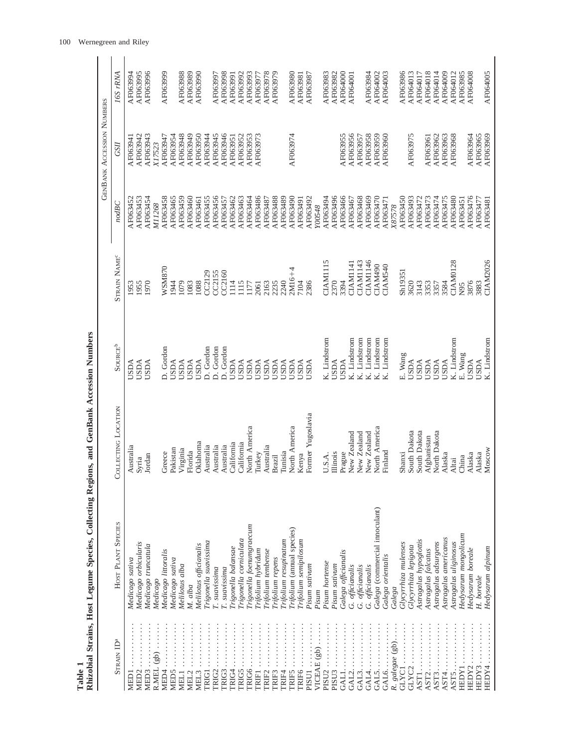| Table 1                                                                                                                                                                                                                                                                                                                      | Rhizobial Strains, Host Legume Species, Collecting Regions, and GenBank Accession Numbers |                         |                           |                          |          |                           |          |
|------------------------------------------------------------------------------------------------------------------------------------------------------------------------------------------------------------------------------------------------------------------------------------------------------------------------------|-------------------------------------------------------------------------------------------|-------------------------|---------------------------|--------------------------|----------|---------------------------|----------|
|                                                                                                                                                                                                                                                                                                                              |                                                                                           |                         |                           |                          |          | GENBANK ACCESSION NUMBERS |          |
| STRAIN ID <sup>a</sup>                                                                                                                                                                                                                                                                                                       | HOST PLANT SPECIES                                                                        | OLLECTING LOCATION<br>◡ | <b>SOURCE<sup>b</sup></b> | STRAIN NAME <sup>c</sup> | nodBC    | <b>GSII</b>               | 16S rRNA |
| $\vdots$<br>MED <sub>1</sub>                                                                                                                                                                                                                                                                                                 | Medicago sativa                                                                           | Australia               | <b>USDA</b>               | 1953                     | AF063452 | AF063941                  | AF063994 |
| $MED2\ldots\ldots\ldots$                                                                                                                                                                                                                                                                                                     | Medicago orbicularis                                                                      | Syria                   | <b>USDA</b>               | 1955                     | AF063453 | AF063942                  | AF063995 |
| $\frac{1}{2}$ : $\frac{1}{2}$ : $\frac{1}{2}$ : $\frac{1}{2}$ : $\frac{1}{2}$<br>MED3                                                                                                                                                                                                                                        | Medicago truncatula                                                                       | Jordan                  | <b>USDA</b>               | 1970                     | AF063454 | AF063943                  | AF063996 |
| R.MEL $(gb) \ldots \ldots$                                                                                                                                                                                                                                                                                                   | Medicago                                                                                  |                         |                           |                          | M11268   | X17523                    |          |
| .<br>MED4                                                                                                                                                                                                                                                                                                                    | Medicago littoralis                                                                       | Greece                  | D. Gordon                 | WSM870                   | AF063458 | AF063947                  | AF063999 |
| MED <sub>5</sub>                                                                                                                                                                                                                                                                                                             | Medicago sativa                                                                           | Pakistan                | <b>USDA</b>               | 1944                     | AF063465 | AF063954                  |          |
| MEL1                                                                                                                                                                                                                                                                                                                         | Melilotus alba                                                                            | Virginia                | <b>USDA</b>               | 1079                     | AF063459 | AF063948                  | AF063988 |
| .<br>MEL <sub>2</sub>                                                                                                                                                                                                                                                                                                        | M. alba                                                                                   | Florida                 | <b>USDA</b>               | 1083                     | AF063460 | AF063949                  | AF063989 |
| .<br>MEL <sub>3</sub>                                                                                                                                                                                                                                                                                                        | Melilotus officianalis                                                                    | Oklahoma                | <b>USDA</b>               | 1088                     | AF063461 | AF063950                  | AF063990 |
| .<br><b>TRIG1</b>                                                                                                                                                                                                                                                                                                            | Trigonella suavissima                                                                     | Australia               | D. Gordon                 | CC2129                   | AF063455 | AF063944                  |          |
| .<br><b>TRIG2</b>                                                                                                                                                                                                                                                                                                            | T. suavissima                                                                             | Australia               | D. Gordon                 | CC2155                   | AF063456 | AF063945                  | AF063997 |
| TRIG3                                                                                                                                                                                                                                                                                                                        | T. suavissima                                                                             | Australia               | D. Gordon                 | CC2160                   | AF063457 | AF063946                  | AF063998 |
| <b>TRIG4</b>                                                                                                                                                                                                                                                                                                                 | Trigonella balansae                                                                       | California              | <b>USDA</b>               | 114                      | AF063462 | AF063951                  | AF063991 |
| $RIGS$                                                                                                                                                                                                                                                                                                                       | Trigonella corniculata                                                                    | California              | <b>USDA</b>               | 115                      | AF063463 | AF063952                  | AF063992 |
| [RIG6                                                                                                                                                                                                                                                                                                                        | Trigonella foenumgraecum                                                                  | North America           | <b>USDA</b>               | 1177                     | AF063464 | AF063953                  | AF063993 |
| <b>TRIF1</b>                                                                                                                                                                                                                                                                                                                 | Trifolium hybridum                                                                        | Turkey                  | <b>USDA</b>               | 2061                     | AF063486 | AF063973                  | AF063977 |
| TRIF <sub>2</sub>                                                                                                                                                                                                                                                                                                            | Trifolium tembense                                                                        | Australia               | <b>USDA</b>               | 2163                     | AF063487 |                           | AF063978 |
| <b>TRIIF3</b>                                                                                                                                                                                                                                                                                                                | Trifolium repens                                                                          | Brazil                  | <b>USDA</b>               | 2235                     | AF063488 |                           | AF063979 |
| <br>TRIF4                                                                                                                                                                                                                                                                                                                    | Trifolium resupinatum                                                                     | Tunisia                 | <b>USDA</b>               | 2240                     | AF063489 |                           |          |
| .<br><b>TRIF5</b>                                                                                                                                                                                                                                                                                                            | Trifolium (annual species)                                                                | North America           | <b>USDA</b>               | $2M16 + 4$               | AF063490 | AF063974                  | AF063980 |
| .<br><b>TRIF6</b>                                                                                                                                                                                                                                                                                                            | Trifolium semipilosum                                                                     | Kenya                   | <b>USDA</b>               | 7104                     | AF063491 |                           | AF063981 |
| $\frac{1}{2}$ $\frac{1}{2}$ $\frac{1}{2}$ $\frac{1}{2}$ $\frac{1}{2}$ $\frac{1}{2}$ $\frac{1}{2}$ $\frac{1}{2}$ $\frac{1}{2}$ $\frac{1}{2}$ $\frac{1}{2}$ $\frac{1}{2}$ $\frac{1}{2}$ $\frac{1}{2}$ $\frac{1}{2}$ $\frac{1}{2}$ $\frac{1}{2}$ $\frac{1}{2}$ $\frac{1}{2}$ $\frac{1}{2}$ $\frac{1}{2}$ $\frac{1}{2}$<br>PISU1 | Pisum sativum                                                                             | Former Yugoslavia       | <b>USDA</b>               | 2386                     | AF063492 |                           | AF063987 |
| VICEAE $(gb)$                                                                                                                                                                                                                                                                                                                | Pisum                                                                                     |                         |                           |                          | Y00548   |                           |          |
| .<br>PISU <sub>2</sub>                                                                                                                                                                                                                                                                                                       | Pisum hortense                                                                            | U.S.A.                  | K. Lindstrom              | CIAM1115                 | AF063494 |                           | AF063983 |
| .<br>PISU <sub>3</sub>                                                                                                                                                                                                                                                                                                       | Pisum sativum                                                                             | Illinois                | <b>USDA</b>               | 2370                     | AF063496 |                           | AF063982 |
| GAL1                                                                                                                                                                                                                                                                                                                         | Galega officianalis                                                                       | Prague                  | <b>USDA</b>               | 3394                     | AF063466 | AF063955                  | AF064000 |
| $GAL2. \ldots \ldots \ldots \ldots$                                                                                                                                                                                                                                                                                          | G. officianalis                                                                           | New Zealand             | K. Lindstrom              | CIAM1141                 | AF063467 | AF063956                  | AF064001 |
| GAI3                                                                                                                                                                                                                                                                                                                         | G. officianalis                                                                           | New Zealand             | K. Lindstrom              | CIAM1143                 | AF063468 | AF063957                  |          |
|                                                                                                                                                                                                                                                                                                                              | G. officianalis                                                                           | New Zealand             | Lindstrom<br>K.           | CIAM1146                 | AF063469 | AF063958                  | AF063984 |
| $GAL5. \ldots \ldots \ldots \ldots$                                                                                                                                                                                                                                                                                          | Galega (commercial innoculant)                                                            | North America           | Lindstrom<br>ĸ.           | CIAM490                  | AF063470 | AF063959                  | AF064002 |
| GAL6                                                                                                                                                                                                                                                                                                                         | Galega orientalis                                                                         | Finland                 | Lindstrom<br>k.           | CIAM540                  | AF063471 | AF063960                  | AF064003 |
| R. galegae (gb)                                                                                                                                                                                                                                                                                                              | Galega                                                                                    |                         |                           |                          | X87578   |                           |          |
| GLYC1                                                                                                                                                                                                                                                                                                                        | Glycyrrhiza mulenses                                                                      | Shanxi                  | E. Wang                   | Sh19351                  | AF063450 |                           | AF063986 |
| $GLYC2$                                                                                                                                                                                                                                                                                                                      | Glycyrrhiza lepigota                                                                      | South Dakota            | <b>USDA</b>               | 3620                     | AF063493 | AF063975                  | AF064013 |
| AST1                                                                                                                                                                                                                                                                                                                         | Astragalus hypoglottis                                                                    | South Dakota            | <b>USDA</b>               | 3143                     | AF063472 |                           | AF064017 |
| AST2                                                                                                                                                                                                                                                                                                                         | Astragalus falcatus                                                                       | Afghanistan             | <b>USDA</b>               | 3353                     | AF063473 | AF063961                  | AF064018 |
| AST3                                                                                                                                                                                                                                                                                                                         | Astragalus adsurgens                                                                      | North Dakota            | <b>USDA</b>               | 3357                     | AF063474 | AF063962                  | AF064014 |
| AST4                                                                                                                                                                                                                                                                                                                         | Astragalus americanus                                                                     | Alaska                  | <b>USDA</b>               | 3584                     | AF063475 | AF063963                  | AF064009 |
| AST5.                                                                                                                                                                                                                                                                                                                        | Astragalus uliginosus                                                                     | Altai                   | K. Lindstrom              | <b>CIAM0128</b>          | AF063480 | AF063968                  | AF064012 |
| HEDY1                                                                                                                                                                                                                                                                                                                        | Hedysarum mongolicum                                                                      | China                   | E. Wang                   | N95                      | AF063451 |                           | AF063985 |
| HEDY2                                                                                                                                                                                                                                                                                                                        | Hedysarum boreale                                                                         | Alaska                  | <b>USDA</b>               | 3876                     | AF063476 | AF063964                  | AF064008 |
| HEDY3                                                                                                                                                                                                                                                                                                                        | H. boreale                                                                                | Alaska                  | <b>USDA</b>               | 3883                     | AF063477 | AF063965                  |          |
| HEDY4                                                                                                                                                                                                                                                                                                                        | Hedysarum alpinum                                                                         | Moscow                  | K. Lindstrom              | CIAM2026                 | AF063481 | AF063969                  | AF064005 |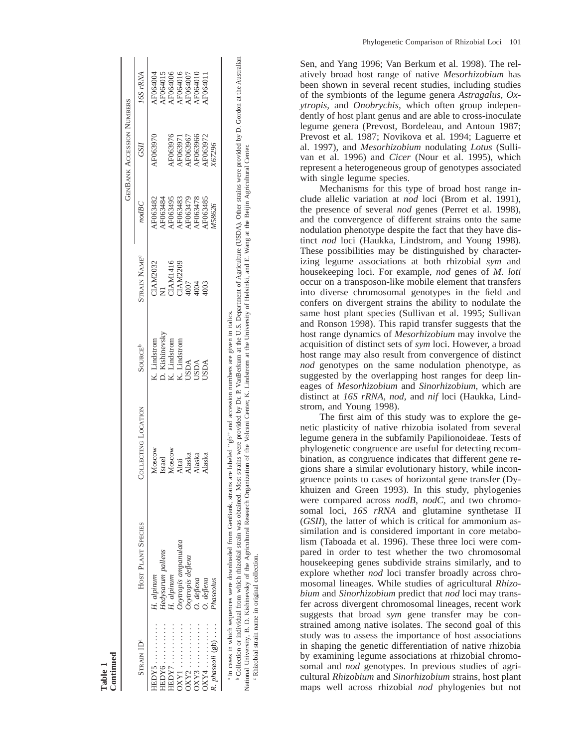|                        |                                                                                      |                                                                                                                                                    |                     |                     |                 | <b>GENBANK ACCESSION NUMBERS</b> |                 |
|------------------------|--------------------------------------------------------------------------------------|----------------------------------------------------------------------------------------------------------------------------------------------------|---------------------|---------------------|-----------------|----------------------------------|-----------------|
| Strain ID <sup>®</sup> | HOST PLANT SPECIES                                                                   | COLLECTING LOCATION                                                                                                                                | SouRCE <sup>b</sup> | <b>STRAIN NAME®</b> | nodBC           | GSII                             | 16S rRNA        |
| <b>EDY5</b>            | H. alpinum                                                                           | Moscow                                                                                                                                             | K. Lindstrom        | <b>HAM2032</b>      | AF063482        | <b>AF063970</b>                  | AF064004        |
|                        | Iedysarum pallens                                                                    | <b>Israel</b>                                                                                                                                      | D. Kishinevsky      |                     | AF063484        |                                  | <b>NF064015</b> |
| EDY7                   | H. alpinum                                                                           | Moscow                                                                                                                                             | K. Lindstrom        | TAM1416             | AF063495        | AF063976                         | <b>AF064006</b> |
|                        | Oxytropis ampanulata                                                                 | Altai                                                                                                                                              | Z. Lindstrom        | <b>IAM2209</b>      | YF063483        | AF063971                         | AF064016        |
|                        | Oxytropis deflexa                                                                    | Alaska                                                                                                                                             | <b>AGSL</b>         | 1007                | YF063479        | AF063967                         | AF064007        |
|                        | O. deflexa                                                                           | Alaska                                                                                                                                             | <b>JSDA</b>         | 1004                | <b>AF063478</b> | <b>AF063966</b>                  | <b>AF064010</b> |
|                        | $0.$ deflexa                                                                         | Alaska                                                                                                                                             | JSDA                | 1003                | F063485         | <b>AF063972</b>                  | F064011         |
| R. $phascoli$ (gb)     | Phaseolus                                                                            |                                                                                                                                                    |                     |                     | M58626          | 067296                           |                 |
|                        | <sup>a In cases in which sequences were downloaded from GenBank, strains a</sup>     | are labeled "gb" and accession numbers are given in italics                                                                                        |                     |                     |                 |                                  |                 |
|                        | <sup>b</sup> Collection or individual from which rhizobial strain was obtained. Most | strains were provided by Dr. P. VanBerkum at the U.S. Department of Agriculture (USDA). Other strains were provided by D. Gordon at the Australian |                     |                     |                 |                                  |                 |

**Table 1 Continued**

National University, B. D. Kishinevsky of the Agricultural Research Organization of the Volcani Center, K. Lindstrom at the University of Helsinki, and E. Wang at the Beijin Agricultural Center National University, B. D. Kishinevsky of the Agricultural Research Organization of the Volcani Center, K. Lindstrom at the University of Helsinki, and E. Wang at the Beijin Agricultural Center. Rhizobial strain name in original collection. Rhizobial strain name in original collection.

Sen, and Yang 1996; Van Berkum et al. 1998). The relatively broad host range of native *Mesorhizobium* has been shown in several recent studies, including studies of the symbionts of the legume genera *Astragalus, Oxytropis,* and *Onobrychis,* which often group independently of host plant genus and are able to cross-inoculate legume genera (Prevost, Bordeleau, and Antoun 1987; Prevost et al. 1987; Novikova et al. 1994; Laguerre et al. 1997), and *Mesorhizobium* nodulating *Lotus* (Sullivan et al. 1996) and *Cicer* (Nour et al. 1995), which represent a heterogeneous group of genotypes associated with single legume species.

Mechanisms for this type of broad host range include allelic variation at *nod* loci (Brom et al. 1991), the presence of several *nod* genes (Perret et al. 1998), and the convergence of different strains onto the same nodulation phenotype despite the fact that they have distinct *nod* loci (Haukka, Lindstrom, and Young 1998). These possibilities may be distinguished by characterizing legume associations at both rhizobial *sym* and housekeeping loci. For example, *nod* genes of *M. loti* occur on a transposon-like mobile element that transfers into diverse chromosomal genotypes in the field and confers on divergent strains the ability to nodulate the same host plant species (Sullivan et al. 1995; Sullivan and Ronson 1998). This rapid transfer suggests that the host range dynamics of *Mesorhizobium* may involve the acquisition of distinct sets of *sym* loci. However, a broad host range may also result from convergence of distinct *nod* genotypes on the same nodulation phenotype, as suggested by the overlapping host ranges for deep lineages of *Mesorhizobium* and *Sinorhizobium,* which are distinct at *16S rRNA, nod,* and *nif* loci (Haukka, Lindstrom, and Young 1998).

The first aim of this study was to explore the genetic plasticity of native rhizobia isolated from several legume genera in the subfamily Papilionoideae. Tests of phylogenetic congruence are useful for detecting recombination, as congruence indicates that different gene regions share a similar evolutionary history, while incongruence points to cases of horizontal gene transfer (Dykhuizen and Green 1993). In this study, phylogenies were compared across *nodB, nodC,* and two chromosomal loci, *16S rRNA* and glutamine synthetase II (*GSII*), the latter of which is critical for ammonium assimilation and is considered important in core metabolism (Taboada et al. 1996). These three loci were compared in order to test whether the two chromosomal housekeeping genes subdivide strains similarly, and to explore whether *nod* loci transfer broadly across chromosomal lineages. While studies of agricultural *Rhizobium* and *Sinorhizobium* predict that *nod* loci may transfer across divergent chromosomal lineages, recent work suggests that broad *sym* gene transfer may be constrained among native isolates. The second goal of this study was to assess the importance of host associations in shaping the genetic differentiation of native rhizobia by examining legume associations at rhizobial chromosomal and *nod* genotypes. In previous studies of agricultural *Rhizobium* and *Sinorhizobium* strains, host plant maps well across rhizobial *nod* phylogenies but not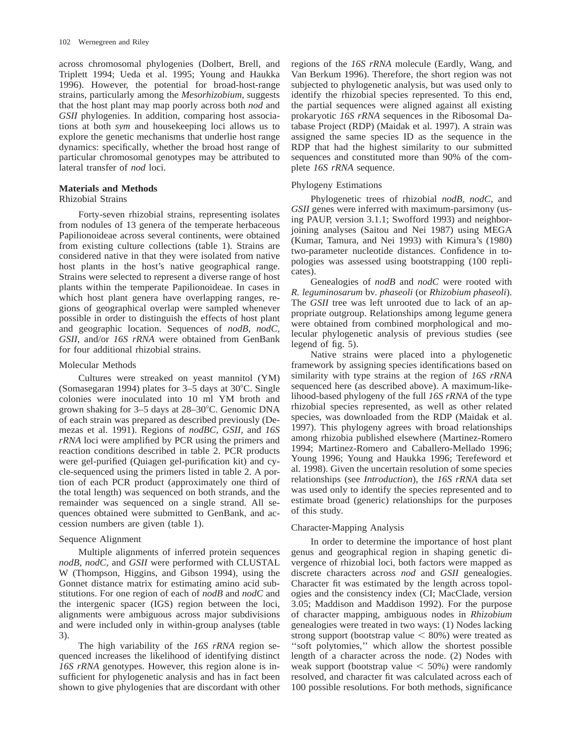across chromosomal phylogenies (Dolbert, Brell, and Triplett 1994; Ueda et al. 1995; Young and Haukka 1996). However, the potential for broad-host-range strains, particularly among the *Mesorhizobium,* suggests that the host plant may map poorly across both *nod* and *GSII* phylogenies. In addition, comparing host associations at both *sym* and housekeeping loci allows us to explore the genetic mechanisms that underlie host range dynamics: specifically, whether the broad host range of particular chromosomal genotypes may be attributed to lateral transfer of *nod* loci.

## **Materials and Methods**

#### Rhizobial Strains

Forty-seven rhizobial strains, representing isolates from nodules of 13 genera of the temperate herbaceous Papilionoideae across several continents, were obtained from existing culture collections (table 1). Strains are considered native in that they were isolated from native host plants in the host's native geographical range. Strains were selected to represent a diverse range of host plants within the temperate Papilionoideae. In cases in which host plant genera have overlapping ranges, regions of geographical overlap were sampled whenever possible in order to distinguish the effects of host plant and geographic location. Sequences of *nodB, nodC, GSII,* and/or *16S rRNA* were obtained from GenBank for four additional rhizobial strains.

#### Molecular Methods

Cultures were streaked on yeast mannitol (YM) (Somasegaran 1994) plates for  $3-5$  days at  $30^{\circ}$ C. Single colonies were inoculated into 10 ml YM broth and grown shaking for 3-5 days at 28-30°C. Genomic DNA of each strain was prepared as described previously (Demezas et al. 1991). Regions of *nodBC, GSII,* and *16S rRNA* loci were amplified by PCR using the primers and reaction conditions described in table 2. PCR products were gel-purified (Quiagen gel-purification kit) and cycle-sequenced using the primers listed in table 2. A portion of each PCR product (approximately one third of the total length) was sequenced on both strands, and the remainder was sequenced on a single strand. All sequences obtained were submitted to GenBank, and accession numbers are given (table 1).

#### Sequence Alignment

Multiple alignments of inferred protein sequences *nodB, nodC,* and *GSII* were performed with CLUSTAL W (Thompson, Higgins, and Gibson 1994), using the Gonnet distance matrix for estimating amino acid substitutions. For one region of each of *nodB* and *nodC* and the intergenic spacer (IGS) region between the loci, alignments were ambiguous across major subdivisions and were included only in within-group analyses (table 3).

The high variability of the *16S rRNA* region sequenced increases the likelihood of identifying distinct *16S rRNA* genotypes. However, this region alone is insufficient for phylogenetic analysis and has in fact been shown to give phylogenies that are discordant with other regions of the *16S rRNA* molecule (Eardly, Wang, and Van Berkum 1996). Therefore, the short region was not subjected to phylogenetic analysis, but was used only to identify the rhizobial species represented. To this end, the partial sequences were aligned against all existing prokaryotic *16S rRNA* sequences in the Ribosomal Database Project (RDP) (Maidak et al. 1997). A strain was assigned the same species ID as the sequence in the RDP that had the highest similarity to our submitted sequences and constituted more than 90% of the complete *16S rRNA* sequence.

#### Phylogeny Estimations

Phylogenetic trees of rhizobial *nodB, nodC,* and *GSII* genes were inferred with maximum-parsimony (using PAUP, version 3.1.1; Swofford 1993) and neighborjoining analyses (Saitou and Nei 1987) using MEGA (Kumar, Tamura, and Nei 1993) with Kimura's (1980) two-parameter nucleotide distances. Confidence in topologies was assessed using bootstrapping (100 replicates).

Genealogies of *nodB* and *nodC* were rooted with *R. leguminosarum* bv. *phaseoli* (or *Rhizobium phaseoli*). The *GSII* tree was left unrooted due to lack of an appropriate outgroup. Relationships among legume genera were obtained from combined morphological and molecular phylogenetic analysis of previous studies (see legend of fig. 5).

Native strains were placed into a phylogenetic framework by assigning species identifications based on similarity with type strains at the region of *16S rRNA* sequenced here (as described above). A maximum-likelihood-based phylogeny of the full *16S rRNA* of the type rhizobial species represented, as well as other related species, was downloaded from the RDP (Maidak et al. 1997). This phylogeny agrees with broad relationships among rhizobia published elsewhere (Martinez-Romero 1994; Martinez-Romero and Caballero-Mellado 1996; Young 1996; Young and Haukka 1996; Terefeword et al. 1998). Given the uncertain resolution of some species relationships (see *Introduction*), the *16S rRNA* data set was used only to identify the species represented and to estimate broad (generic) relationships for the purposes of this study.

## Character-Mapping Analysis

In order to determine the importance of host plant genus and geographical region in shaping genetic divergence of rhizobial loci, both factors were mapped as discrete characters across *nod* and *GSII* genealogies. Character fit was estimated by the length across topologies and the consistency index (CI; MacClade, version 3.05; Maddison and Maddison 1992). For the purpose of character mapping, ambiguous nodes in *Rhizobium* genealogies were treated in two ways: (1) Nodes lacking strong support (bootstrap value  $\leq 80\%$ ) were treated as ''soft polytomies,'' which allow the shortest possible length of a character across the node. (2) Nodes with weak support (bootstrap value  $<$  50%) were randomly resolved, and character fit was calculated across each of 100 possible resolutions. For both methods, significance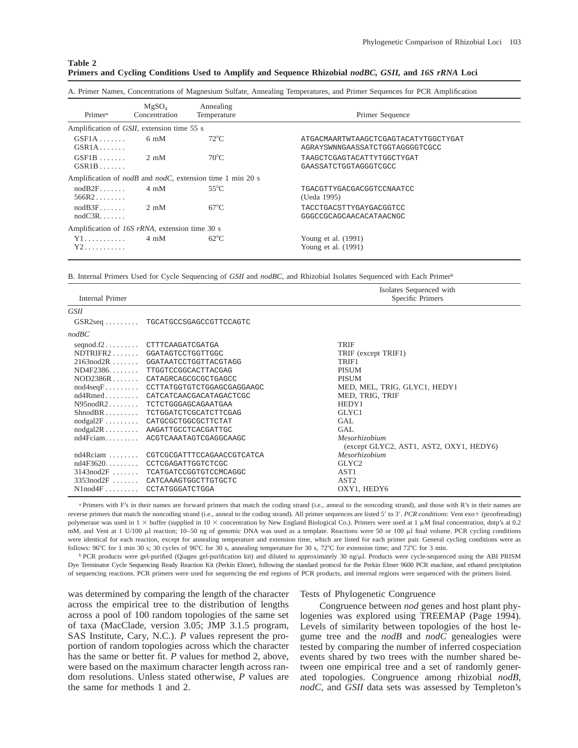| Table 2 |  |  |                                                                                                      |  |  |  |  |
|---------|--|--|------------------------------------------------------------------------------------------------------|--|--|--|--|
|         |  |  | Primers and Cycling Conditions Used to Amplify and Sequence Rhizobial nodBC, GSII, and 16S rRNA Loci |  |  |  |  |

|  |  |  |  | A. Primer Names, Concentrations of Magnesium Sulfate, Annealing Temperatures, and Primer Sequences for PCR Amplification |  |
|--|--|--|--|--------------------------------------------------------------------------------------------------------------------------|--|
|  |  |  |  |                                                                                                                          |  |

| Primer <sup>a</sup>                            | MgSO <sub>4</sub><br>Concentration | Annealing<br>Temperature                                                 | Primer Sequence                                                         |
|------------------------------------------------|------------------------------------|--------------------------------------------------------------------------|-------------------------------------------------------------------------|
| Amplification of GSII, extension time 55 s     |                                    |                                                                          |                                                                         |
| $GSE1A$<br>$GSR1A$                             | $6 \text{ mM}$                     | $72^{\circ}$ C                                                           | ATGACMAARTWTAAGCTCGAGTACATYTGGCTYGAT<br>AGRAYSWNNGAASSATCTGGTAGGGGTCGCC |
| $GSF1B$<br>$GSR1B$                             | $2 \text{ mM}$                     | $70^{\circ}$ C                                                           | TAAGCTCGAGTACATTYTGGCTYGAT<br>GAASSATCTGGTAGGGTCGCC                     |
|                                                |                                    | Amplification of <i>nodB</i> and <i>nodC</i> , extension time 1 min 20 s |                                                                         |
| nodB2F<br>$566R2\ldots\ldots$                  | 4 mM                               | $55^{\circ}$ C                                                           | TGACGTTYGACGACGGTCCNAATCC<br>(Ueda 1995)                                |
| $nodB3F$<br>$nodC3R. \ldots$                   | $2 \text{ mM}$                     | $67^{\circ}$ C                                                           | TACCTGACSTTYGAYGACGGTCC<br>GGGCCGCAGCAACACATAACNGC                      |
| Amplification of 16S rRNA, extension time 30 s |                                    |                                                                          |                                                                         |
| Y1<br>$Y2$                                     | $4 \text{ mM}$                     | $62^{\circ}$ C                                                           | Young et al. $(1991)$<br>Young et al. (1991)                            |

B. Internal Primers Used for Cycle Sequencing of *GSII* and *nodBC,* and Rhizobial Isolates Sequenced with Each Primerb

| <b>Internal Primer</b> |                                      | Isolates Sequenced with<br>Specific Primers |
|------------------------|--------------------------------------|---------------------------------------------|
| <i>GSII</i>            |                                      |                                             |
|                        | GSR2seq  TGCATGCCSGAGCCGTTCCAGTC     |                                             |
| nodBC                  |                                      |                                             |
|                        | seqnod.f2 CTTTCAAGATCGATGA           | <b>TRIF</b>                                 |
|                        | NDTRIFR2GGATAGTCCTGGTTGGC            | TRIF (except TRIF1)                         |
|                        | 2163nod2R  GGATAATCCTGGTTACGTAGG     | TRIF1                                       |
|                        | ND4F2386 TTGGTCCGGCACTTACGAG         | <b>PISUM</b>                                |
|                        | NOD2386R CATAGRCAGCGCGCTGAGCC        | <b>PISUM</b>                                |
|                        | nod4seqF CCTTATGGTGTCTGGAGCGAGGAAGC  | MED, MEL, TRIG, GLYC1, HEDY1                |
|                        | nd4Rmed CATCATCAACGACATAGACTCGC      | MED, TRIG, TRIF                             |
|                        | N95nodR2 TCTCTGGGAGCAGAATGAA         | HEDY1                                       |
|                        | ShnodBR TCTGGATCTCGCATCTTCGAG        | GLYC1                                       |
|                        | nodgal2F CATGCGCTGGCGCTTCTAT         | <b>GAL</b>                                  |
|                        | nodgal2R AAGATTGCCTCACGATTGC         | GAL.                                        |
|                        | nd4Fciam ACGTCAAATAGTCGAGGCAAGC      | Mesorhizobium                               |
|                        |                                      | (except GLYC2, AST1, AST2, OXY1, HEDY6)     |
|                        | nd4Rciam  CGTCGCGATTTCCAGAACCGTCATCA | Mesorhizobium                               |
|                        | nd4F3620 CCTCGAGATTGGTCTCGC          | GLYC <sub>2</sub>                           |
|                        | 3143 nod 2F  TCATGATCCGGTGTCCMCAGGC  | AST <sub>1</sub>                            |
|                        | 3353nod2F  CATCAAAGTGGCTTGTGCTC      | AST <sub>2</sub>                            |
|                        | N1nod4F CCTATGGGATCTGGA              | OXY1, HEDY6                                 |

a Primers with F's in their names are forward primers that match the coding strand (i.e., anneal to the noncoding strand), and those with R's in their names are reverse primers that match the noncoding strand (i.e., anneal to the coding strand). All primer sequences are listed 5' to 3'. *PCR conditions*: Vent exo+ (proofreading) polymerase was used in  $1 \times$  buffer (supplied in  $10 \times$  concentration by New England Biological Co.). Primers were used at 1  $\mu$ M final concentration, dntp's at 0.2 mM, and Vent at 1 U/100  $\mu$ l reaction; 10-50 ng of genomic DNA was used as a template. Reactions were 50 or 100  $\mu$ l final volume. PCR cycling conditions were identical for each reaction, except for annealing temperature and extension time, which are listed for each primer pair. General cycling conditions were as follows: 96°C for 1 min 30 s; 30 cycles of 96°C for 30 s, annealing temperature for 30 s, 72°C for extension time; and 72°C for 3 min.

b PCR products were gel-purified (Qiagen gel-purification kit) and diluted to approximately 30 ng/ $\mu$ l. Products were cycle-sequenced using the ABI PRISM Dye Terminator Cycle Sequencing Ready Reaction Kit (Perkin Elmer), following the standard protocol for the Perkin Elmer 9600 PCR machine, and ethanol precipitation of sequencing reactions. PCR primers were used for sequencing the end regions of PCR products, and internal regions were sequenced with the primers listed.

was determined by comparing the length of the character across the empirical tree to the distribution of lengths across a pool of 100 random topologies of the same set of taxa (MacClade, version 3.05; JMP 3.1.5 program, SAS Institute, Cary, N.C.). *P* values represent the proportion of random topologies across which the character has the same or better fit. *P* values for method 2, above, were based on the maximum character length across random resolutions. Unless stated otherwise, *P* values are the same for methods 1 and 2.

#### Tests of Phylogenetic Congruence

Congruence between *nod* genes and host plant phylogenies was explored using TREEMAP (Page 1994). Levels of similarity between topologies of the host legume tree and the *nodB* and *nodC* genealogies were tested by comparing the number of inferred cospeciation events shared by two trees with the number shared between one empirical tree and a set of randomly generated topologies. Congruence among rhizobial *nodB, nodC,* and *GSII* data sets was assessed by Templeton's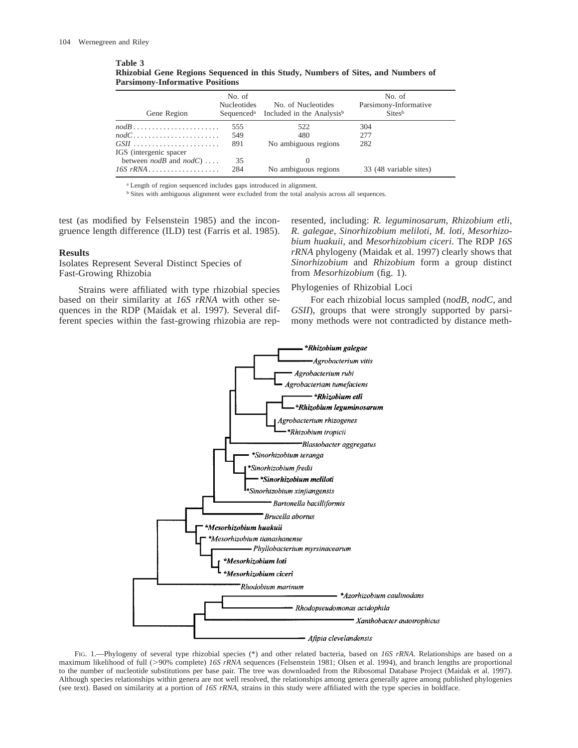#### **Table 3**

| Rhizobial Gene Regions Sequenced in this Study, Numbers of Sites, and Numbers of |  |  |  |
|----------------------------------------------------------------------------------|--|--|--|
| <b>Parsimony-Informative Positions</b>                                           |  |  |  |

| Gene Region                                             | No. of<br><b>Nucleotides</b> | No. of Nucleotides<br>Sequenced <sup>a</sup> Included in the Analysis <sup>b</sup> | No. of<br>Parsimony-Informative<br>Sitesb |
|---------------------------------------------------------|------------------------------|------------------------------------------------------------------------------------|-------------------------------------------|
| $nodB$                                                  | 555                          | 522                                                                                | 304                                       |
| $nodC \ldots \ldots \ldots \ldots \ldots \ldots \ldots$ | 549                          | 480                                                                                | 2.77                                      |
| $GSII$                                                  | 891                          | No ambiguous regions                                                               | 282                                       |
| IGS (intergenic spacer                                  |                              |                                                                                    |                                           |
| between $nodB$ and $nodC) \ldots$ .                     | 35                           |                                                                                    |                                           |
| $16S$ rRNA                                              | 284                          | No ambiguous regions                                                               | 33 (48 variable sites)                    |

<sup>a</sup> Length of region sequenced includes gaps introduced in alignment.

<sup>b</sup> Sites with ambiguous alignment were excluded from the total analysis across all sequences.

test (as modified by Felsenstein 1985) and the incongruence length difference (ILD) test (Farris et al. 1985).

#### **Results**

Isolates Represent Several Distinct Species of Fast-Growing Rhizobia

Strains were affiliated with type rhizobial species based on their similarity at *16S rRNA* with other sequences in the RDP (Maidak et al. 1997). Several different species within the fast-growing rhizobia are represented, including: *R. leguminosarum, Rhizobium etli, R. galegae, Sinorhizobium meliloti, M. loti, Mesorhizobium huakuii,* and *Mesorhizobium ciceri.* The RDP *16S rRNA* phylogeny (Maidak et al. 1997) clearly shows that *Sinorhizobium* and *Rhizobium* form a group distinct from *Mesorhizobium* (fig. 1).

#### Phylogenies of Rhizobial Loci

For each rhizobial locus sampled (*nodB, nodC,* and *GSII*), groups that were strongly supported by parsimony methods were not contradicted by distance meth-



FIG. 1.—Phylogeny of several type rhizobial species (\*) and other related bacteria, based on *16S rRNA*. Relationships are based on a maximum likelihood of full (>90% complete) *16S rRNA* sequences (Felsenstein 1981; Olsen et al. 1994), and branch lengths are proportional to the number of nucleotide substitutions per base pair. The tree was downloaded from the Ribosomal Database Project (Maidak et al. 1997). Although species relationships within genera are not well resolved, the relationships among genera generally agree among published phylogenies (see text). Based on similarity at a portion of *16S rRNA,* strains in this study were affiliated with the type species in boldface.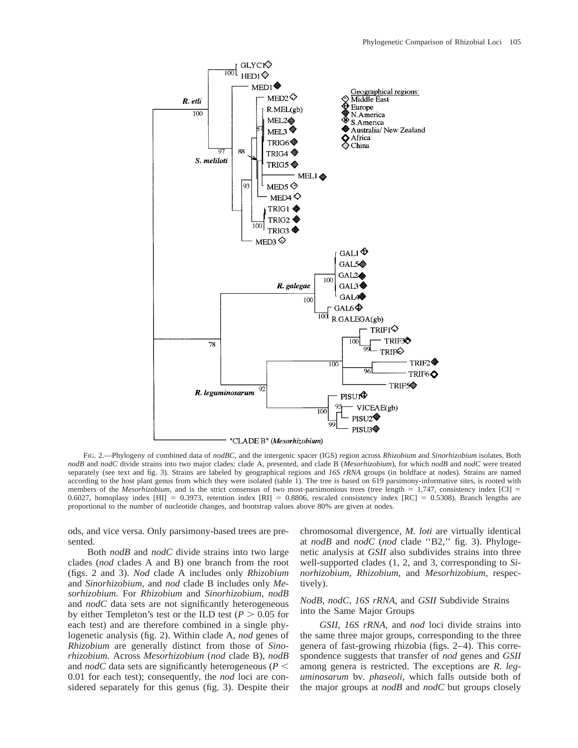

FIG. 2.—Phylogeny of combined data of *nodBC,* and the intergenic spacer (IGS) region across *Rhizobium* and *Sinorhizobium* isolates. Both *nodB* and *nodC* divide strains into two major clades: clade A, presented, and clade B (*Mesorhizobium*), for which *nodB* and *nodC* were treated separately (see text and fig. 3). Strains are labeled by geographical regions and *16S rRNA* groups (in boldface at nodes). Strains are named according to the host plant genus from which they were isolated (table 1). The tree is based on 619 parsimony-informative sites, is rooted with members of the *Mesorhizobium*, and is the strict consensus of two most-parsimonious trees (tree length  $= 1,747$ , consistency index [CI]  $=$ 0.6027, homoplasy index [HI] = 0.3973, retention index [RI] = 0.8806, rescaled consistency index [RC] = 0.5308). Branch lengths are proportional to the number of nucleotide changes, and bootstrap values above 80% are given at nodes.

ods, and vice versa. Only parsimony-based trees are presented.

Both *nodB* and *nodC* divide strains into two large clades (*nod* clades A and B) one branch from the root (figs. 2 and 3). *Nod* clade A includes only *Rhizobium* and *Sinorhizobium,* and *nod* clade B includes only *Mesorhizobium.* For *Rhizobium* and *Sinorhizobium, nodB* and *nodC* data sets are not significantly heterogeneous by either Templeton's test or the ILD test ( $P > 0.05$  for each test) and are therefore combined in a single phylogenetic analysis (fig. 2). Within clade A, *nod* genes of *Rhizobium* are generally distinct from those of *Sinorhizobium.* Across *Mesorhizobium* (*nod* clade B), *nodB* and *nodC* data sets are significantly heterogeneous ( $P$  < 0.01 for each test); consequently, the *nod* loci are considered separately for this genus (fig. 3). Despite their chromosomal divergence, *M. loti* are virtually identical at *nodB* and *nodC* (*nod* clade ''B2,'' fig. 3). Phylogenetic analysis at *GSII* also subdivides strains into three well-supported clades (1, 2, and 3, corresponding to *Sinorhizobium, Rhizobium,* and *Mesorhizobium,* respectively).

## *NodB, nodC, 16S rRNA,* and *GSII* Subdivide Strains into the Same Major Groups

*GSII, 16S rRNA,* and *nod* loci divide strains into the same three major groups, corresponding to the three genera of fast-growing rhizobia (figs. 2–4). This correspondence suggests that transfer of *nod* genes and *GSII* among genera is restricted. The exceptions are *R. leguminosarum* bv. *phaseoli,* which falls outside both of the major groups at *nodB* and *nodC* but groups closely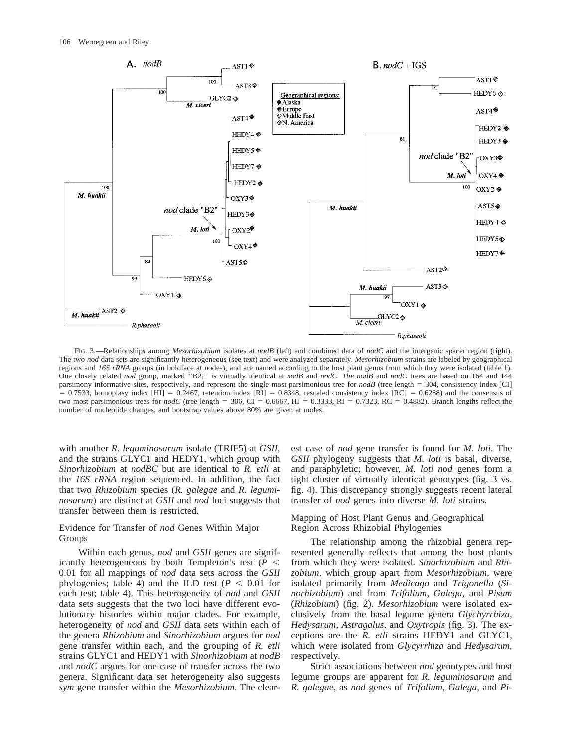

FIG. 3.—Relationships among *Mesorhizobium* isolates at *nodB* (left) and combined data of *nodC* and the intergenic spacer region (right). The two *nod* data sets are significantly heterogeneous (see text) and were analyzed separately. *Mesorhizobium* strains are labeled by geographical regions and *16S rRNA* groups (in boldface at nodes), and are named according to the host plant genus from which they were isolated (table 1). One closely related *nod* group, marked ''B2,'' is virtually identical at *nodB* and *nodC. The nodB* and *nodC* trees are based on 164 and 144 parsimony informative sites, respectively, and represent the single most-parsimonious tree for  $nodB$  (tree length = 304, consistency index [CI]  $= 0.7533$ , homoplasy index [HI] = 0.2467, retention index [RI] = 0.8348, rescaled consistency index [RC] = 0.6288) and the consensus of two most-parsimonious trees for  $nodC$  (tree length = 306, CI = 0.6667, HI = 0.3333, RI = 0.7323, RC = 0.4882). Branch lengths reflect the number of nucleotide changes, and bootstrap values above 80% are given at nodes.

with another *R. leguminosarum* isolate (TRIF5) at *GSII,* and the strains GLYC1 and HEDY1, which group with *Sinorhizobium* at *nodBC* but are identical to *R. etli* at the *16S rRNA* region sequenced. In addition, the fact that two *Rhizobium* species (*R. galegae* and *R. leguminosarum*) are distinct at *GSII* and *nod* loci suggests that transfer between them is restricted.

## Evidence for Transfer of *nod* Genes Within Major Groups

Within each genus, *nod* and *GSII* genes are significantly heterogeneous by both Templeton's test ( $P \leq$ 0.01 for all mappings of *nod* data sets across the *GSII* phylogenies; table 4) and the ILD test ( $P < 0.01$  for each test; table 4). This heterogeneity of *nod* and *GSII* data sets suggests that the two loci have different evolutionary histories within major clades. For example, heterogeneity of *nod* and *GSII* data sets within each of the genera *Rhizobium* and *Sinorhizobium* argues for *nod* gene transfer within each, and the grouping of *R. etli* strains GLYC1 and HEDY1 with *Sinorhizobium* at *nodB* and *nodC* argues for one case of transfer across the two genera. Significant data set heterogeneity also suggests *sym* gene transfer within the *Mesorhizobium.* The clearest case of *nod* gene transfer is found for *M. loti.* The *GSII* phylogeny suggests that *M. loti* is basal, diverse, and paraphyletic; however, *M. loti nod* genes form a tight cluster of virtually identical genotypes (fig. 3 vs. fig. 4). This discrepancy strongly suggests recent lateral transfer of *nod* genes into diverse *M. loti* strains.

## Mapping of Host Plant Genus and Geographical Region Across Rhizobial Phylogenies

The relationship among the rhizobial genera represented generally reflects that among the host plants from which they were isolated. *Sinorhizobium* and *Rhizobium,* which group apart from *Mesorhizobium,* were isolated primarily from *Medicago* and *Trigonella* (*Sinorhizobium*) and from *Trifolium, Galega,* and *Pisum* (*Rhizobium*) (fig. 2). *Mesorhizobium* were isolated exclusively from the basal legume genera *Glychyrrhiza, Hedysarum, Astragalus,* and *Oxytropis* (fig. 3). The exceptions are the *R. etli* strains HEDY1 and GLYC1, which were isolated from *Glycyrrhiza* and *Hedysarum,* respectively.

Strict associations between *nod* genotypes and host legume groups are apparent for *R. leguminosarum* and *R. galegae,* as *nod* genes of *Trifolium, Galega,* and *Pi-*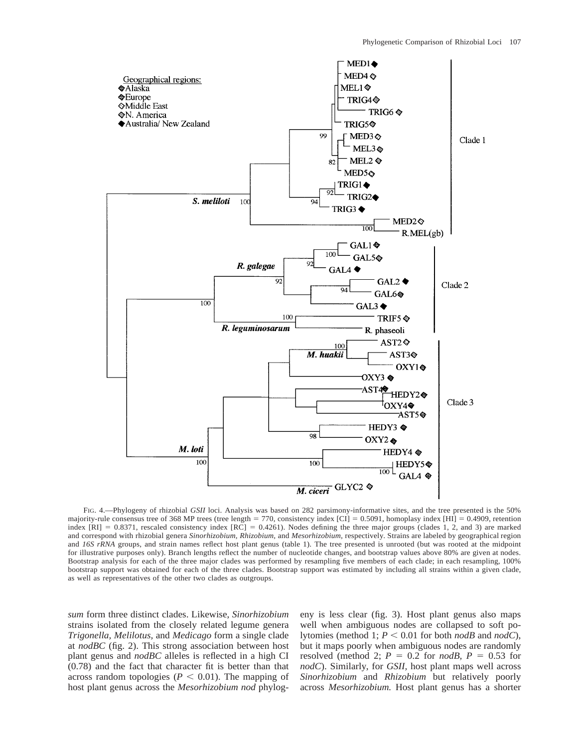

FIG. 4.—Phylogeny of rhizobial *GSII* loci. Analysis was based on 282 parsimony-informative sites, and the tree presented is the 50% majority-rule consensus tree of 368 MP trees (tree length = 770, consistency index  $\overline{[CI]} = 0.5091$ , homoplasy index  $\overline{[HI]} = 0.4909$ , retention index  $[RI] = 0.8371$ , rescaled consistency index  $[RC] = 0.4261$ ). Nodes defining the three major groups (clades 1, 2, and 3) are marked and correspond with rhizobial genera *Sinorhizobium, Rhizobium,* and *Mesorhizobium,* respectively. Strains are labeled by geographical region and *16S rRNA* groups, and strain names reflect host plant genus (table 1). The tree presented is unrooted (but was rooted at the midpoint for illustrative purposes only). Branch lengths reflect the number of nucleotide changes, and bootstrap values above 80% are given at nodes. Bootstrap analysis for each of the three major clades was performed by resampling five members of each clade; in each resampling, 100% bootstrap support was obtained for each of the three clades. Bootstrap support was estimated by including all strains within a given clade, as well as representatives of the other two clades as outgroups.

*sum* form three distinct clades. Likewise, *Sinorhizobium* strains isolated from the closely related legume genera *Trigonella, Melilotus,* and *Medicago* form a single clade at *nodBC* (fig. 2). This strong association between host plant genus and *nodBC* alleles is reflected in a high CI (0.78) and the fact that character fit is better than that across random topologies ( $P < 0.01$ ). The mapping of host plant genus across the *Mesorhizobium nod* phylogeny is less clear (fig. 3). Host plant genus also maps well when ambiguous nodes are collapsed to soft polytomies (method 1;  $P \le 0.01$  for both *nodB* and *nodC*), but it maps poorly when ambiguous nodes are randomly resolved (method 2;  $P = 0.2$  for *nodB*,  $P = 0.53$  for *nodC*). Similarly, for *GSII,* host plant maps well across *Sinorhizobium* and *Rhizobium* but relatively poorly across *Mesorhizobium.* Host plant genus has a shorter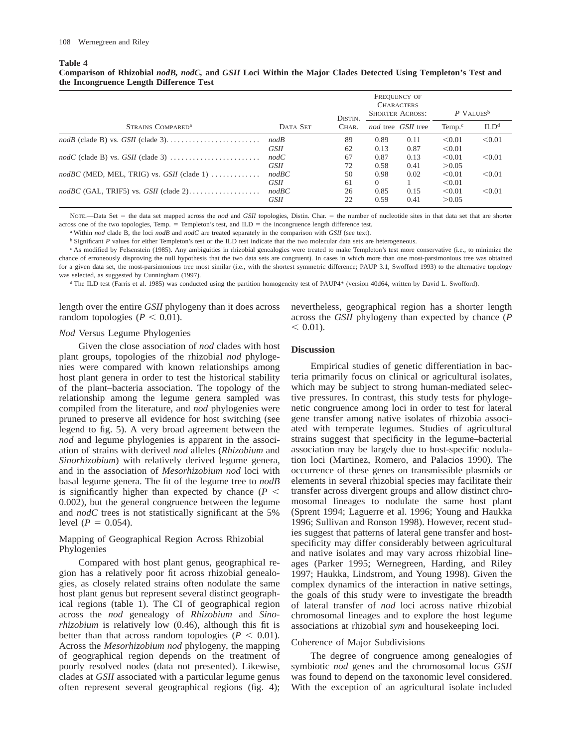**Table 4**

## **Comparison of Rhizobial** *nodB, nodC,* **and** *GSII* **Loci Within the Major Clades Detected Using Templeton's Test and the Incongruence Length Difference Test**

|                                                                      |                      | DISTIN.  |                  | FREQUENCY OF<br><b>CHARACTERS</b><br><b>SHORTER ACROSS:</b> | $P$ VALUES <sup>b</sup> |                  |
|----------------------------------------------------------------------|----------------------|----------|------------------|-------------------------------------------------------------|-------------------------|------------------|
| STRAINS COMPARED <sup>a</sup>                                        | DATA SET             | CHAR.    |                  | nod tree GSII tree                                          | Temp. $\circ$           | ILD <sup>d</sup> |
|                                                                      | nodB<br>GSII         | 89<br>62 | 0.89<br>0.13     | 0.11<br>0.87                                                | < 0.01<br>< 0.01        | < 0.01           |
|                                                                      | nodC<br><i>GSII</i>  | 67<br>72 | 0.87<br>0.58     | 0.13<br>0.41                                                | < 0.01<br>> 0.05        | < 0.01           |
| $nodBC$ (MED, MEL, TRIG) vs. $GSII$ (clade 1) $\ldots \ldots \ldots$ | nodBC<br><b>GSH</b>  | 50<br>61 | 0.98<br>$\Omega$ | 0.02                                                        | < 0.01<br>< 0.01        | < 0.01           |
|                                                                      | nodBC<br><b>GSII</b> | 26<br>22 | 0.85<br>0.59     | 0.15<br>0.41                                                | < 0.01<br>> 0.05        | < 0.01           |

NOTE.—Data Set = the data set mapped across the *nod* and *GSII* topologies, Distin. Char. = the number of nucleotide sites in that data set that are shorter across one of the two topologies, Temp.  $=$  Templeton's test, and ILD  $=$  the incongruence length difference test.

<sup>a</sup> Within *nod* clade B, the loci *nodB* and *nodC* are treated separately in the comparison with *GSII* (see text).

<sup>b</sup> Significant *P* values for either Templeton's test or the ILD test indicate that the two molecular data sets are heterogeneous.

<sup>c</sup> As modified by Felsenstein (1985). Any ambiguities in rhizobial genealogies were treated to make Templeton's test more conservative (i.e., to minimize the chance of erroneously disproving the null hypothesis that the two data sets are congruent). In cases in which more than one most-parsimonious tree was obtained for a given data set, the most-parsimonious tree most similar (i.e., with the shortest symmetric difference; PAUP 3.1, Swofford 1993) to the alternative topology was selected, as suggested by Cunningham (1997).

<sup>d</sup> The ILD test (Farris et al. 1985) was conducted using the partition homogeneity test of PAUP4\* (version 40d64, written by David L. Swofford).

length over the entire *GSII* phylogeny than it does across random topologies ( $P < 0.01$ ).

#### *Nod* Versus Legume Phylogenies

Given the close association of *nod* clades with host plant groups, topologies of the rhizobial *nod* phylogenies were compared with known relationships among host plant genera in order to test the historical stability of the plant–bacteria association. The topology of the relationship among the legume genera sampled was compiled from the literature, and *nod* phylogenies were pruned to preserve all evidence for host switching (see legend to fig. 5). A very broad agreement between the *nod* and legume phylogenies is apparent in the association of strains with derived *nod* alleles (*Rhizobium* and *Sinorhizobium*) with relatively derived legume genera, and in the association of *Mesorhizobium nod* loci with basal legume genera. The fit of the legume tree to *nodB* is significantly higher than expected by chance  $(P \leq$ 0.002), but the general congruence between the legume and *nodC* trees is not statistically significant at the 5% level  $(P = 0.054)$ .

## Mapping of Geographical Region Across Rhizobial Phylogenies

Compared with host plant genus, geographical region has a relatively poor fit across rhizobial genealogies, as closely related strains often nodulate the same host plant genus but represent several distinct geographical regions (table 1). The CI of geographical region across the *nod* genealogy of *Rhizobium* and *Sinorhizobium* is relatively low (0.46), although this fit is better than that across random topologies ( $P < 0.01$ ). Across the *Mesorhizobium nod* phylogeny, the mapping of geographical region depends on the treatment of poorly resolved nodes (data not presented). Likewise, clades at *GSII* associated with a particular legume genus often represent several geographical regions (fig. 4); nevertheless, geographical region has a shorter length across the *GSII* phylogeny than expected by chance (*P*  $< 0.01$ ).

## **Discussion**

Empirical studies of genetic differentiation in bacteria primarily focus on clinical or agricultural isolates, which may be subject to strong human-mediated selective pressures. In contrast, this study tests for phylogenetic congruence among loci in order to test for lateral gene transfer among native isolates of rhizobia associated with temperate legumes. Studies of agricultural strains suggest that specificity in the legume–bacterial association may be largely due to host-specific nodulation loci (Martinez, Romero, and Palacios 1990). The occurrence of these genes on transmissible plasmids or elements in several rhizobial species may facilitate their transfer across divergent groups and allow distinct chromosomal lineages to nodulate the same host plant (Sprent 1994; Laguerre et al. 1996; Young and Haukka 1996; Sullivan and Ronson 1998). However, recent studies suggest that patterns of lateral gene transfer and hostspecificity may differ considerably between agricultural and native isolates and may vary across rhizobial lineages (Parker 1995; Wernegreen, Harding, and Riley 1997; Haukka, Lindstrom, and Young 1998). Given the complex dynamics of the interaction in native settings, the goals of this study were to investigate the breadth of lateral transfer of *nod* loci across native rhizobial chromosomal lineages and to explore the host legume associations at rhizobial *sym* and housekeeping loci.

## Coherence of Major Subdivisions

The degree of congruence among genealogies of symbiotic *nod* genes and the chromosomal locus *GSII* was found to depend on the taxonomic level considered. With the exception of an agricultural isolate included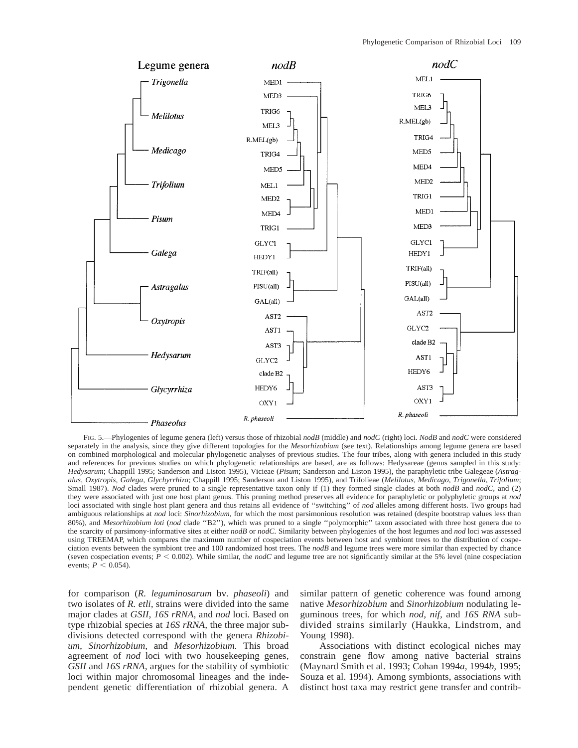

FIG. 5.—Phylogenies of legume genera (left) versus those of rhizobial *nodB* (middle) and *nodC* (right) loci. *NodB* and *nodC* were considered separately in the analysis, since they give different topologies for the *Mesorhizobium* (see text). Relationships among legume genera are based on combined morphological and molecular phylogenetic analyses of previous studies. The four tribes, along with genera included in this study and references for previous studies on which phylogenetic relationships are based, are as follows: Hedysareae (genus sampled in this study: *Hedysarum*; Chappill 1995; Sanderson and Liston 1995), Vicieae (*Pisum*; Sanderson and Liston 1995), the paraphyletic tribe Galegeae (*Astragalus, Oxytropis, Galega, Glychyrrhiza*; Chappill 1995; Sanderson and Liston 1995), and Trifolieae (*Melilotus, Medicago, Trigonella, Trifolium*; Small 1987). *Nod* clades were pruned to a single representative taxon only if (1) they formed single clades at both *nodB* and *nodC*, and (2) they were associated with just one host plant genus. This pruning method preserves all evidence for paraphyletic or polyphyletic groups at *nod* loci associated with single host plant genera and thus retains all evidence of ''switching'' of *nod* alleles among different hosts. Two groups had ambiguous relationships at *nod* loci: *Sinorhizobium,* for which the most parsimonious resolution was retained (despite bootstrap values less than 80%), and *Mesorhizobium loti* (*nod* clade ''B2''), which was pruned to a single ''polymorphic'' taxon associated with three host genera due to the scarcity of parsimony-informative sites at either *nodB* or *nodC.* Similarity between phylogenies of the host legumes and *nod* loci was assessed using TREEMAP, which compares the maximum number of cospeciation events between host and symbiont trees to the distribution of cospeciation events between the symbiont tree and 100 randomized host trees. The *nodB* and legume trees were more similar than expected by chance (seven cospeciation events;  $P < 0.002$ ). While similar, the *nodC* and legume tree are not significantly similar at the 5% level (nine cospeciation events;  $P < 0.054$ ).

for comparison (*R. leguminosarum* bv. *phaseoli*) and two isolates of *R. etli,* strains were divided into the same major clades at *GSII, 16S rRNA,* and *nod* loci. Based on type rhizobial species at *16S rRNA,* the three major subdivisions detected correspond with the genera *Rhizobium, Sinorhizobium,* and *Mesorhizobium.* This broad agreement of *nod* loci with two housekeeping genes, *GSII* and *16S rRNA,* argues for the stability of symbiotic loci within major chromosomal lineages and the independent genetic differentiation of rhizobial genera. A

similar pattern of genetic coherence was found among native *Mesorhizobium* and *Sinorhizobium* nodulating leguminous trees, for which *nod, nif,* and *16S RNA* subdivided strains similarly (Haukka, Lindstrom, and Young 1998).

Associations with distinct ecological niches may constrain gene flow among native bacterial strains (Maynard Smith et al. 1993; Cohan 1994*a,* 1994*b,* 1995; Souza et al. 1994). Among symbionts, associations with distinct host taxa may restrict gene transfer and contrib-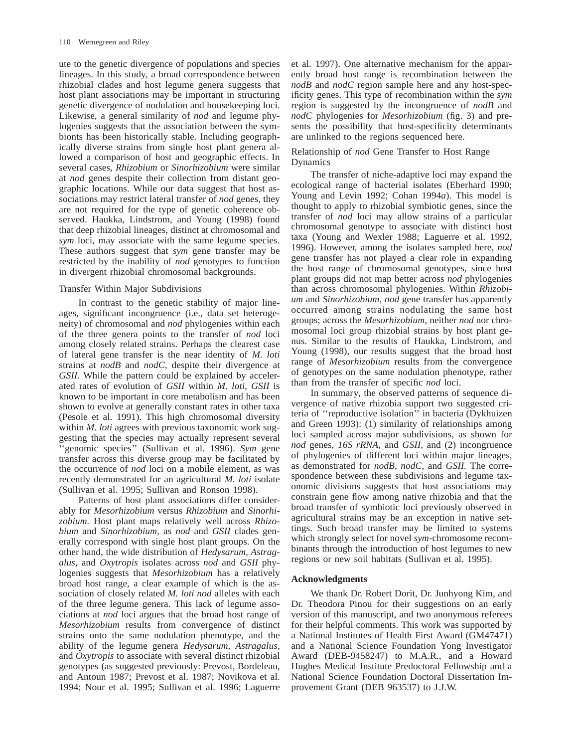ute to the genetic divergence of populations and species lineages. In this study, a broad correspondence between rhizobial clades and host legume genera suggests that host plant associations may be important in structuring genetic divergence of nodulation and housekeeping loci. Likewise, a general similarity of *nod* and legume phylogenies suggests that the association between the symbionts has been historically stable. Including geographically diverse strains from single host plant genera allowed a comparison of host and geographic effects. In several cases, *Rhizobium* or *Sinorhizobium* were similar at *nod* genes despite their collection from distant geographic locations. While our data suggest that host associations may restrict lateral transfer of *nod* genes, they are not required for the type of genetic coherence observed. Haukka, Lindstrom, and Young (1998) found that deep rhizobial lineages, distinct at chromosomal and *sym* loci, may associate with the same legume species. These authors suggest that *sym* gene transfer may be restricted by the inability of *nod* genotypes to function in divergent rhizobial chromosomal backgrounds.

#### Transfer Within Major Subdivisions

In contrast to the genetic stability of major lineages, significant incongruence (i.e., data set heterogeneity) of chromosomal and *nod* phylogenies within each of the three genera points to the transfer of *nod* loci among closely related strains. Perhaps the clearest case of lateral gene transfer is the near identity of *M. loti* strains at *nodB* and *nodC,* despite their divergence at *GSII.* While the pattern could be explained by accelerated rates of evolution of *GSII* within *M. loti, GSII* is known to be important in core metabolism and has been shown to evolve at generally constant rates in other taxa (Pesole et al. 1991). This high chromosomal diversity within *M. loti* agrees with previous taxonomic work suggesting that the species may actually represent several 'genomic species'' (Sullivan et al. 1996). *Sym* gene transfer across this diverse group may be facilitated by the occurrence of *nod* loci on a mobile element, as was recently demonstrated for an agricultural *M. loti* isolate (Sullivan et al. 1995; Sullivan and Ronson 1998).

Patterns of host plant associations differ considerably for *Mesorhizobium* versus *Rhizobium* and *Sinorhizobium.* Host plant maps relatively well across *Rhizobium* and *Sinorhizobium,* as *nod* and *GSII* clades generally correspond with single host plant groups. On the other hand, the wide distribution of *Hedysarum, Astragalus,* and *Oxytropis* isolates across *nod* and *GSII* phylogenies suggests that *Mesorhizobium* has a relatively broad host range, a clear example of which is the association of closely related *M. loti nod* alleles with each of the three legume genera. This lack of legume associations at *nod* loci argues that the broad host range of *Mesorhizobium* results from convergence of distinct strains onto the same nodulation phenotype, and the ability of the legume genera *Hedysarum, Astragalus,* and *Oxytropis* to associate with several distinct rhizobial genotypes (as suggested previously: Prevost, Bordeleau, and Antoun 1987; Prevost et al. 1987; Novikova et al. 1994; Nour et al. 1995; Sullivan et al. 1996; Laguerre et al. 1997). One alternative mechanism for the apparently broad host range is recombination between the *nodB* and *nodC* region sample here and any host-specificity genes. This type of recombination within the *sym* region is suggested by the incongruence of *nodB* and *nodC* phylogenies for *Mesorhizobium* (fig. 3) and presents the possibility that host-specificity determinants are unlinked to the regions sequenced here.

## Relationship of *nod* Gene Transfer to Host Range Dynamics

The transfer of niche-adaptive loci may expand the ecological range of bacterial isolates (Eberhard 1990; Young and Levin 1992; Cohan 1994*a*). This model is thought to apply to rhizobial symbiotic genes, since the transfer of *nod* loci may allow strains of a particular chromosomal genotype to associate with distinct host taxa (Young and Wexler 1988; Laguerre et al. 1992, 1996). However, among the isolates sampled here, *nod* gene transfer has not played a clear role in expanding the host range of chromosomal genotypes, since host plant groups did not map better across *nod* phylogenies than across chromosomal phylogenies. Within *Rhizobium* and *Sinorhizobium, nod* gene transfer has apparently occurred among strains nodulating the same host groups; across the *Mesorhizobium,* neither *nod* nor chromosomal loci group rhizobial strains by host plant genus. Similar to the results of Haukka, Lindstrom, and Young (1998), our results suggest that the broad host range of *Mesorhizobium* results from the convergence of genotypes on the same nodulation phenotype, rather than from the transfer of specific *nod* loci.

In summary, the observed patterns of sequence divergence of native rhizobia support two suggested criteria of ''reproductive isolation'' in bacteria (Dykhuizen and Green 1993): (1) similarity of relationships among loci sampled across major subdivisions, as shown for *nod* genes, *16S rRNA,* and *GSII,* and (2) incongruence of phylogenies of different loci within major lineages, as demonstrated for *nodB, nodC,* and *GSII.* The correspondence between these subdivisions and legume taxonomic divisions suggests that host associations may constrain gene flow among native rhizobia and that the broad transfer of symbiotic loci previously observed in agricultural strains may be an exception in native settings. Such broad transfer may be limited to systems which strongly select for novel *sym*-chromosome recombinants through the introduction of host legumes to new regions or new soil habitats (Sullivan et al. 1995).

#### **Acknowledgments**

We thank Dr. Robert Dorit, Dr. Junhyong Kim, and Dr. Theodora Pinou for their suggestions on an early version of this manuscript, and two anonymous referees for their helpful comments. This work was supported by a National Institutes of Health First Award (GM47471) and a National Science Foundation Yong Investigator Award (DEB-9458247) to M.A.R., and a Howard Hughes Medical Institute Predoctoral Fellowship and a National Science Foundation Doctoral Dissertation Improvement Grant (DEB 963537) to J.J.W.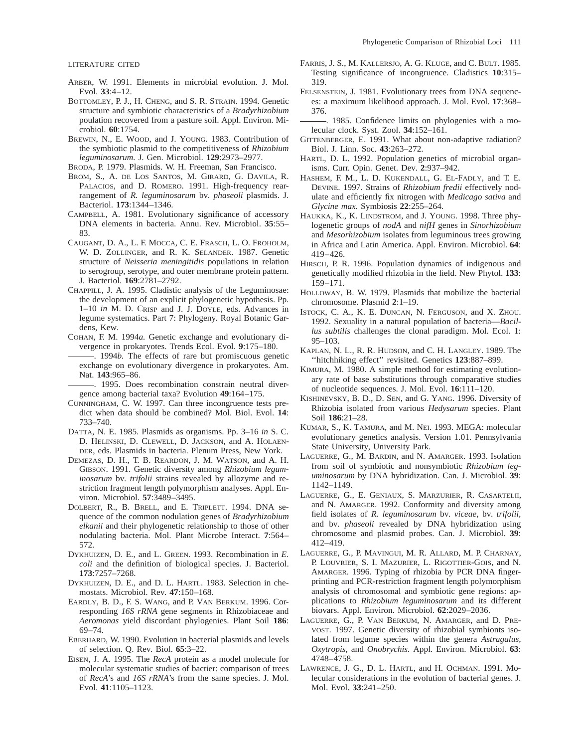LITERATURE CITED

- ARBER, W. 1991. Elements in microbial evolution. J. Mol. Evol. **33**:4–12.
- BOTTOMLEY, P. J., H. CHENG, and S. R. STRAIN. 1994. Genetic structure and symbiotic characteristics of a *Bradyrhizobium* poulation recovered from a pasture soil. Appl. Environ. Microbiol. **60**:1754.
- BREWIN, N., E. WOOD, and J. YOUNG. 1983. Contribution of the symbiotic plasmid to the competitiveness of *Rhizobium leguminosarum.* J. Gen. Microbiol. **129**:2973–2977.

BRODA, P. 1979. Plasmids. W. H. Freeman, San Francisco.

- BROM, S., A. DE LOS SANTOS, M. GIRARD, G. DAVILA, R. PALACIOS, and D. ROMERO. 1991. High-frequency rearrangement of *R. leguminosarum* bv. *phaseoli* plasmids. J. Bacteriol. **173**:1344–1346.
- CAMPBELL, A. 1981. Evolutionary significance of accessory DNA elements in bacteria. Annu. Rev. Microbiol. **35**:55– 83.
- CAUGANT, D. A., L. F. MOCCA, C. E. FRASCH, L. O. FROHOLM, W. D. ZOLLINGER, and R. K. SELANDER. 1987. Genetic structure of *Neisseria meningitidis* populations in relation to serogroup, serotype, and outer membrane protein pattern. J. Bacteriol. **169**:2781–2792.
- CHAPPILL, J. A. 1995. Cladistic analysis of the Leguminosae: the development of an explicit phylogenetic hypothesis. Pp. 1–10 *in* M. D. CRISP and J. J. DOYLE, eds. Advances in legume systematics. Part 7: Phylogeny. Royal Botanic Gardens, Kew.
- COHAN, F. M. 1994*a.* Genetic exchange and evolutionary divergence in prokaryotes. Trends Ecol. Evol. **9**:175–180.
- . 1994*b.* The effects of rare but promiscuous genetic exchange on evolutionary divergence in prokaryotes. Am. Nat. **143**:965–86.
- . 1995. Does recombination constrain neutral divergence among bacterial taxa? Evolution **49**:164–175.
- CUNNINGHAM, C. W. 1997. Can three incongruence tests predict when data should be combined? Mol. Biol. Evol. **14**: 733–740.
- DATTA, N. E. 1985. Plasmids as organisms. Pp. 3–16 *in* S. C. D. HELINSKI, D. CLEWELL, D. JACKSON, and A. HOLAEN-DER, eds. Plasmids in bacteria. Plenum Press, New York.
- DEMEZAS, D. H., T. B. REARDON, J. M. WATSON, and A. H. GIBSON. 1991. Genetic diversity among *Rhizobium leguminosarum* bv. *trifolii* strains revealed by allozyme and restriction fragment length polymorphism analyses. Appl. Environ. Microbiol. **57**:3489–3495.
- DOLBERT, R., B. BRELL, and E. TRIPLETT. 1994. DNA sequence of the common nodulation genes of *Bradyrhizobium elkanii* and their phylogenetic relationship to those of other nodulating bacteria. Mol. Plant Microbe Interact. **7**:564– 572.
- DYKHUIZEN, D. E., and L. GREEN. 1993. Recombination in *E. coli* and the definition of biological species. J. Bacteriol. **173**:7257–7268.
- DYKHUIZEN, D. E., and D. L. HARTL. 1983. Selection in chemostats. Microbiol. Rev. **47**:150–168.
- EARDLY, B. D., F. S. WANG, and P. VAN BERKUM. 1996. Corresponding *16S rRNA* gene segments in Rhizobiaceae and *Aeromonas* yield discordant phylogenies. Plant Soil **186**: 69–74.
- EBERHARD, W. 1990. Evolution in bacterial plasmids and levels of selection. Q. Rev. Biol. **65**:3–22.
- EISEN, J. A. 1995. The *RecA* protein as a model molecule for molecular systematic studies of bactier: comparison of trees of *RecA*'s and *16S rRNA*'s from the same species. J. Mol. Evol. **41**:1105–1123.
- FARRIS, J. S., M. KALLERSJO, A. G. KLUGE, and C. BULT. 1985. Testing significance of incongruence. Cladistics **10**:315– 319.
- FELSENSTEIN, J. 1981. Evolutionary trees from DNA sequences: a maximum likelihood approach. J. Mol. Evol. **17**:368– 376.
- . 1985. Confidence limits on phylogenies with a molecular clock. Syst. Zool. **34**:152–161.
- GITTENBERGER, E. 1991. What about non-adaptive radiation? Biol. J. Linn. Soc. **43**:263–272.
- HARTL, D. L. 1992. Population genetics of microbial organisms. Curr. Opin. Genet. Dev. **2**:937–942.
- HASHEM, F. M., L. D. KUKENDALL, G. EL-FADLY, and T. E. DEVINE. 1997. Strains of *Rhizobium fredii* effectively nodulate and efficiently fix nitrogen with *Medicago sativa* and *Glycine max.* Symbiosis **22**:255–264.
- HAUKKA, K., K. LINDSTROM, and J. YOUNG. 1998. Three phylogenetic groups of *nodA* and *nifH* genes in *Sinorhizobium* and *Mesorhizobium* isolates from leguminous trees growing in Africa and Latin America. Appl. Environ. Microbiol. **64**: 419–426.
- HIRSCH, P. R. 1996. Population dynamics of indigenous and genetically modified rhizobia in the field. New Phytol. **133**: 159–171.
- HOLLOWAY, B. W. 1979. Plasmids that mobilize the bacterial chromosome. Plasmid **2**:1–19.
- ISTOCK, C. A., K. E. DUNCAN, N. FERGUSON, and X. ZHOU. 1992. Sexuality in a natural population of bacteria—*Bacillus subtilis* challenges the clonal paradigm. Mol. Ecol. 1: 95–103.
- KAPLAN, N. L., R. R. HUDSON, and C. H. LANGLEY. 1989. The ''hitchhiking effect'' revisited. Genetics **123**:887–899.
- KIMURA, M. 1980. A simple method for estimating evolutionary rate of base substitutions through comparative studies of nucleotide sequences. J. Mol. Evol. **16**:111–120.
- KISHINEVSKY, B. D., D. SEN, and G. YANG. 1996. Diversity of Rhizobia isolated from various *Hedysarum* species. Plant Soil **186**:21–28.
- KUMAR, S., K. TAMURA, and M. NEI. 1993. MEGA: molecular evolutionary genetics analysis. Version 1.01. Pennsylvania State University, University Park.
- LAGUERRE, G., M. BARDIN, and N. AMARGER. 1993. Isolation from soil of symbiotic and nonsymbiotic *Rhizobium leguminosarum* by DNA hybridization. Can. J. Microbiol. **39**: 1142–1149.
- LAGUERRE, G., E. GENIAUX, S. MARZURIER, R. CASARTELII, and N. AMARGER. 1992. Conformity and diversity among field isolates of *R. leguminosarum* bv. *viceae,* bv. *trifolii,* and bv. *phaseoli* revealed by DNA hybridization using chromosome and plasmid probes. Can. J. Microbiol. **39**: 412–419.
- LAGUERRE, G., P. MAVINGUI, M. R. ALLARD, M. P. CHARNAY, P. LOUVRIER, S. I. MAZURIER, L. RIGOTTIER-GOIS, and N. AMARGER. 1996. Typing of rhizobia by PCR DNA fingerprinting and PCR-restriction fragment length polymorphism analysis of chromosomal and symbiotic gene regions: applications to *Rhizobium leguminosarum* and its different biovars. Appl. Environ. Microbiol. **62**:2029–2036.
- LAGUERRE, G., P. VAN BERKUM, N. AMARGER, and D. PRE-VOST. 1997. Genetic diversity of rhizobial symbionts isolated from legume species within the genera *Astragalus, Oxytropis,* and *Onobrychis.* Appl. Environ. Microbiol. **63**: 4748–4758.
- LAWRENCE, J. G., D. L. HARTL, and H. OCHMAN. 1991. Molecular considerations in the evolution of bacterial genes. J. Mol. Evol. **33**:241–250.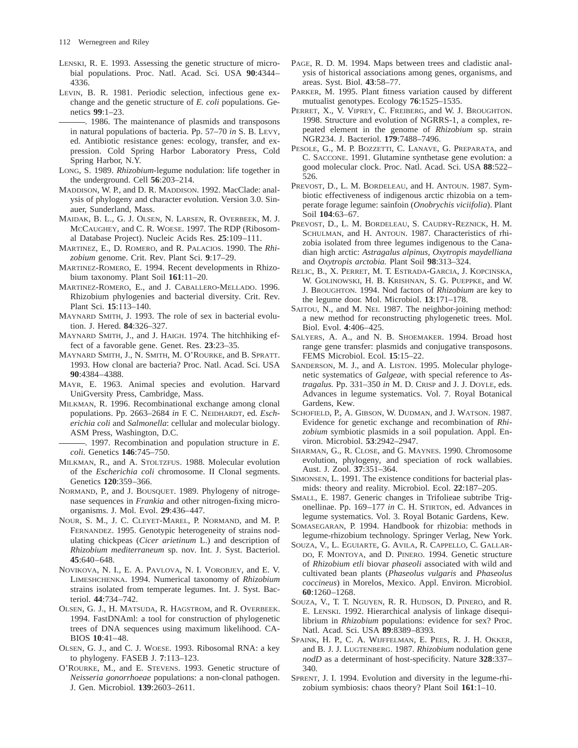- LENSKI, R. E. 1993. Assessing the genetic structure of microbial populations. Proc. Natl. Acad. Sci. USA **90**:4344– 4336.
- LEVIN, B. R. 1981. Periodic selection, infectious gene exchange and the genetic structure of *E. coli* populations. Genetics **99**:1–23.
	- . 1986. The maintenance of plasmids and transposons in natural populations of bacteria. Pp. 57–70 *in* S. B. LEVY, ed. Antibiotic resistance genes: ecology, transfer, and expression. Cold Spring Harbor Laboratory Press, Cold Spring Harbor, N.Y.
- LONG, S. 1989. *Rhizobium*-legume nodulation: life together in the underground. Cell **56**:203–214.
- MADDISON, W. P., and D. R. MADDISON. 1992. MacClade: analysis of phylogeny and character evolution. Version 3.0. Sinauer, Sunderland, Mass.
- MAIDAK, B. L., G. J. OLSEN, N. LARSEN, R. OVERBEEK, M. J. MCCAUGHEY, and C. R. WOESE. 1997. The RDP (Ribosomal Database Project). Nucleic Acids Res. **25**:109–111.
- MARTINEZ, E., D. ROMERO, and R. PALACIOS. 1990. The *Rhizobium* genome. Crit. Rev. Plant Sci. **9**:17–29.
- MARTINEZ-ROMERO, E. 1994. Recent developments in Rhizobium taxonomy. Plant Soil **161**:11–20.
- MARTINEZ-ROMERO, E., and J. CABALLERO-MELLADO. 1996. Rhizobium phylogenies and bacterial diversity. Crit. Rev. Plant Sci. **15**:113–140.
- MAYNARD SMITH, J. 1993. The role of sex in bacterial evolution. J. Hered. **84**:326–327.
- MAYNARD SMITH, J., and J. HAIGH. 1974. The hitchhiking effect of a favorable gene. Genet. Res. **23**:23–35.
- MAYNARD SMITH, J., N. SMITH, M. O'ROURKE, and B. SPRATT. 1993. How clonal are bacteria? Proc. Natl. Acad. Sci. USA **90**:4384–4388.
- MAYR, E. 1963. Animal species and evolution. Harvard UniGversity Press, Cambridge, Mass.
- MILKMAN, R. 1996. Recombinational exchange among clonal populations. Pp. 2663–2684 *in* F. C. NEIDHARDT, ed. *Escherichia coli* and *Salmonella*: cellular and molecular biology. ASM Press, Washington, D.C.
- . 1997. Recombination and population structure in *E. coli.* Genetics **146**:745–750.
- MILKMAN, R., and A. STOLTZFUS. 1988. Molecular evolution of the *Escherichia coli* chromosome. II Clonal segments. Genetics **120**:359–366.
- NORMAND, P., and J. BOUSQUET. 1989. Phylogeny of nitrogenase sequences in *Frankia* and other nitrogen-fixing microorganisms. J. Mol. Evol. **29**:436–447.
- NOUR, S. M., J. C. CLEYET-MAREL, P. NORMAND, and M. P. FERNANDEZ. 1995. Genotypic heterogeneity of strains nodulating chickpeas (*Cicer arietinum* L.) and description of *Rhizobium mediterraneum* sp. nov. Int. J. Syst. Bacteriol. **45**:640–648.
- NOVIKOVA, N. I., E. A. PAVLOVA, N. I. VOROBJEV, and E. V. LIMESHCHENKA. 1994. Numerical taxonomy of *Rhizobium* strains isolated from temperate legumes. Int. J. Syst. Bacteriol. **44**:734–742.
- OLSEN, G. J., H. MATSUDA, R. HAGSTROM, and R. OVERBEEK. 1994. FastDNAml: a tool for construction of phylogenetic trees of DNA sequences using maximum likelihood. CA-BIOS **10**:41–48.
- OLSEN, G. J., and C. J. WOESE. 1993. Ribosomal RNA: a key to phylogeny. FASEB J. **7**:113–123.
- O'ROURKE, M., and E. STEVENS. 1993. Genetic structure of *Neisseria gonorrhoeae* populations: a non-clonal pathogen. J. Gen. Microbiol. **139**:2603–2611.
- PAGE, R. D. M. 1994. Maps between trees and cladistic analysis of historical associations among genes, organisms, and areas. Syst. Biol. **43**:58–77.
- PARKER, M. 1995. Plant fitness variation caused by different mutualist genotypes. Ecology **76**:1525–1535.
- PERRET, X., V. VIPREY, C. FREIBERG, and W. J. BROUGHTON. 1998. Structure and evolution of NGRRS-1, a complex, repeated element in the genome of *Rhizobium* sp. strain NGR234. J. Bacteriol. **179**:7488–7496.
- PESOLE, G., M. P. BOZZETTI, C. LANAVE, G. PREPARATA, and C. SACCONE. 1991. Glutamine synthetase gene evolution: a good molecular clock. Proc. Natl. Acad. Sci. USA **88**:522– 526.
- PREVOST, D., L. M. BORDELEAU, and H. ANTOUN. 1987. Symbiotic effectiveness of indigenous arctic rhizobia on a temperate forage legume: sainfoin (*Onobrychis viciifolia*). Plant Soil **104**:63–67.
- PREVOST, D., L. M. BORDELEAU, S. CAUDRY-REZNICK, H. M. SCHULMAN, and H. ANTOUN. 1987. Characteristics of rhizobia isolated from three legumes indigenous to the Canadian high arctic: *Astragalus alpinus, Oxytropis maydelliana* and *Oxytropis arctobia.* Plant Soil **98**:313–324.
- RELIC, B., X. PERRET, M. T. ESTRADA-GARCIA, J. KOPCINSKA, W. GOLINOWSKI, H. B. KRISHNAN, S. G. PUEPPKE, and W. J. BROUGHTON. 1994. Nod factors of *Rhizobium* are key to the legume door. Mol. Microbiol. **13**:171–178.
- SAITOU, N., and M. NEI. 1987. The neighbor-joining method: a new method for reconstructing phylogenetic trees. Mol. Biol. Evol. **4**:406–425.
- SALYERS, A. A., and N. B. SHOEMAKER. 1994. Broad host range gene transfer: plasmids and conjugative transposons. FEMS Microbiol. Ecol. **15**:15–22.
- SANDERSON, M. J., and A. LISTON. 1995. Molecular phylogenetic systematics of *Galgeae,* with special reference to *Astragalus.* Pp. 331–350 *in* M. D. CRISP and J. J. DOYLE, eds. Advances in legume systematics. Vol. 7. Royal Botanical Gardens, Kew.
- SCHOFIELD, P., A. GIBSON, W. DUDMAN, and J. WATSON. 1987. Evidence for genetic exchange and recombination of *Rhizobium* symbiotic plasmids in a soil population. Appl. Environ. Microbiol. **53**:2942–2947.
- SHARMAN, G., R. CLOSE, and G. MAYNES. 1990. Chromosome evolution, phylogeny, and speciation of rock wallabies. Aust. J. Zool. **37**:351–364.
- SIMONSEN, L. 1991. The existence conditions for bacterial plasmids: theory and reality. Microbiol. Ecol. **22**:187–205.
- SMALL, E. 1987. Generic changes in Trifolieae subtribe Trigonellinae. Pp. 169–177 *in* C. H. STIRTON, ed. Advances in legume systematics. Vol. 3. Royal Botanic Gardens, Kew.
- SOMASEGARAN, P. 1994. Handbook for rhizobia: methods in legume-rhizobium technology. Springer Verlag, New York.
- SOUZA, V., L. EGUIARTE, G. AVILA, R. CAPPELLO, C. GALLAR-DO, F. MONTOYA, and D. PINERO. 1994. Genetic structure of *Rhizobium etli* biovar *phaseoli* associated with wild and cultivated bean plants (*Phaseolus vulgaris* and *Phaseolus coccineus*) in Morelos, Mexico. Appl. Environ. Microbiol. **60**:1260–1268.
- SOUZA, V., T. T. NGUYEN, R. R. HUDSON, D. PINERO, and R. E. LENSKI. 1992. Hierarchical analysis of linkage disequilibrium in *Rhizobium* populations: evidence for sex? Proc. Natl. Acad. Sci. USA **89**:8389–8393.
- SPAINK, H. P., C. A. WIJFFELMAN, E. PEES, R. J. H. OKKER, and B. J. J. LUGTENBERG. 1987. *Rhizobium* nodulation gene *nodD* as a determinant of host-specificity. Nature **328**:337– 340.
- SPRENT, J. I. 1994. Evolution and diversity in the legume-rhizobium symbiosis: chaos theory? Plant Soil **161**:1–10.